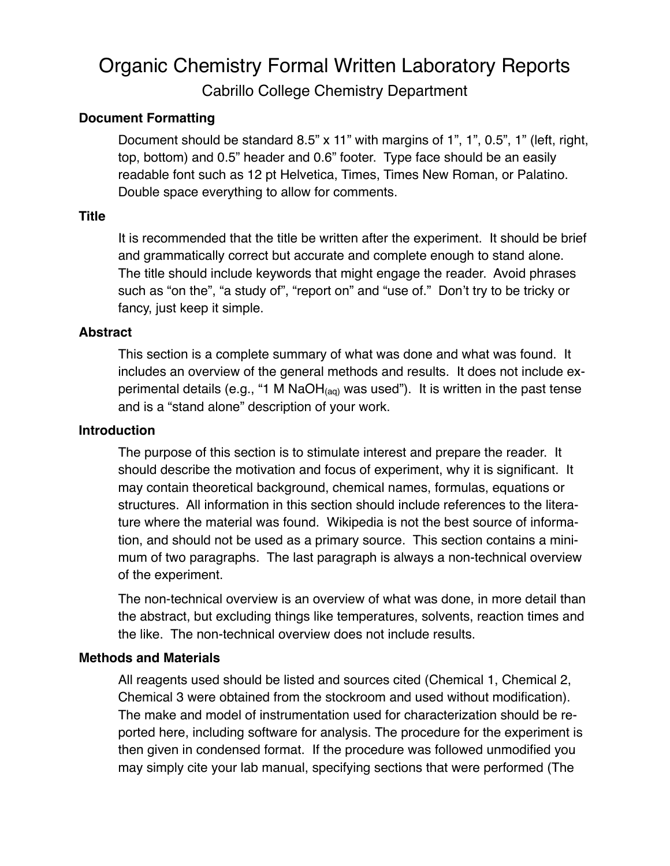# Organic Chemistry Formal Written Laboratory Reports Cabrillo College Chemistry Department

# **Document Formatting**

Document should be standard 8.5" x 11" with margins of 1", 1", 0.5", 1" (left, right, top, bottom) and 0.5" header and 0.6" footer. Type face should be an easily readable font such as 12 pt Helvetica, Times, Times New Roman, or Palatino. Double space everything to allow for comments.

# **Title**

It is recommended that the title be written after the experiment. It should be brief and grammatically correct but accurate and complete enough to stand alone. The title should include keywords that might engage the reader. Avoid phrases such as "on the", "a study of", "report on" and "use of." Don't try to be tricky or fancy, just keep it simple.

## **Abstract**

This section is a complete summary of what was done and what was found. It includes an overview of the general methods and results. It does not include experimental details (e.g., "1 M NaOH $_{(aq)}$  was used"). It is written in the past tense and is a "stand alone" description of your work.

## **Introduction**

The purpose of this section is to stimulate interest and prepare the reader. It should describe the motivation and focus of experiment, why it is significant. It may contain theoretical background, chemical names, formulas, equations or structures. All information in this section should include references to the literature where the material was found. Wikipedia is not the best source of information, and should not be used as a primary source. This section contains a minimum of two paragraphs. The last paragraph is always a non-technical overview of the experiment.

The non-technical overview is an overview of what was done, in more detail than the abstract, but excluding things like temperatures, solvents, reaction times and the like. The non-technical overview does not include results.

# **Methods and Materials**

All reagents used should be listed and sources cited (Chemical 1, Chemical 2, Chemical 3 were obtained from the stockroom and used without modification). The make and model of instrumentation used for characterization should be reported here, including software for analysis. The procedure for the experiment is then given in condensed format. If the procedure was followed unmodified you may simply cite your lab manual, specifying sections that were performed (The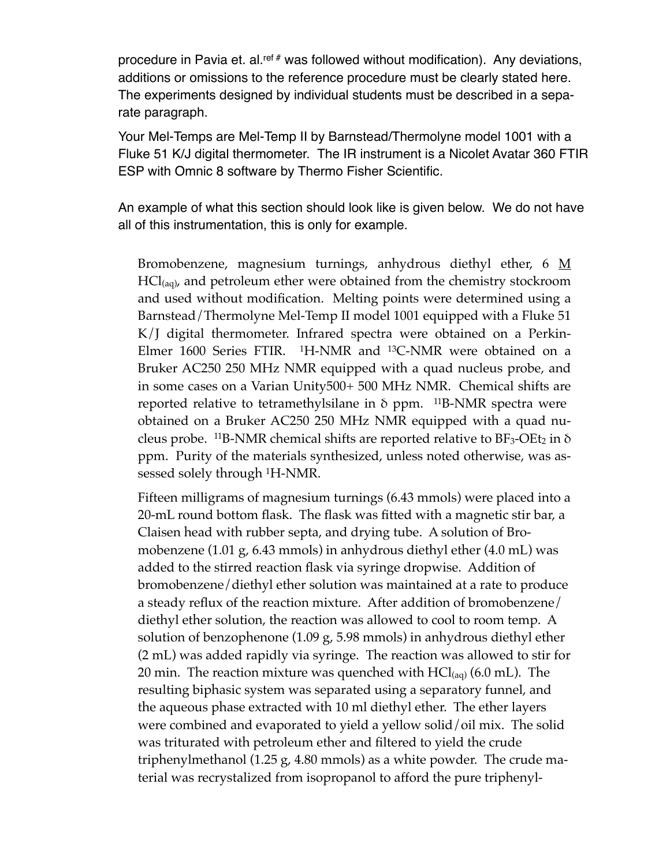procedure in Pavia et. al.<sup>ref #</sup> was followed without modification). Any deviations, additions or omissions to the reference procedure must be clearly stated here. The experiments designed by individual students must be described in a separate paragraph.

Your Mel-Temps are Mel-Temp II by Barnstead/Thermolyne model 1001 with a Fluke 51 K/J digital thermometer. The IR instrument is a Nicolet Avatar 360 FTIR ESP with Omnic 8 software by Thermo Fisher Scientific.

An example of what this section should look like is given below. We do not have all of this instrumentation, this is only for example.

Bromobenzene, magnesium turnings, anhydrous diethyl ether, 6  $\underline{M}$  $\text{HCl}_{\text{(aq)}}$ , and petroleum ether were obtained from the chemistry stockroom and used without modification. Melting points were determined using a Barnstead/Thermolyne Mel-Temp II model 1001 equipped with a Fluke 51 K/J digital thermometer. Infrared spectra were obtained on a Perkin-Elmer 1600 Series FTIR. <sup>1</sup>H-NMR and <sup>13</sup>C-NMR were obtained on a Bruker AC250 250 MHz NMR equipped with a quad nucleus probe, and in some cases on a Varian Unity500+ 500 MHz NMR. Chemical shifts are reported relative to tetramethylsilane in  $\delta$  ppm. <sup>11</sup>B-NMR spectra were obtained on a Bruker AC250 250 MHz NMR equipped with a quad nucleus probe. <sup>11</sup>B-NMR chemical shifts are reported relative to  $BF_3-OE_2$  in  $\delta$ ppm. Purity of the materials synthesized, unless noted otherwise, was assessed solely through 1H-NMR.

Fifteen milligrams of magnesium turnings (6.43 mmols) were placed into a 20-mL round bottom flask. The flask was fitted with a magnetic stir bar, a Claisen head with rubber septa, and drying tube. A solution of Bromobenzene (1.01 g, 6.43 mmols) in anhydrous diethyl ether (4.0 mL) was added to the stirred reaction flask via syringe dropwise. Addition of bromobenzene/diethyl ether solution was maintained at a rate to produce a steady reflux of the reaction mixture. After addition of bromobenzene/ diethyl ether solution, the reaction was allowed to cool to room temp. A solution of benzophenone (1.09 g, 5.98 mmols) in anhydrous diethyl ether (2 mL) was added rapidly via syringe. The reaction was allowed to stir for 20 min. The reaction mixture was quenched with  $\text{HCl}_{(aq)}$  (6.0 mL). The resulting biphasic system was separated using a separatory funnel, and the aqueous phase extracted with 10 ml diethyl ether. The ether layers were combined and evaporated to yield a yellow solid/oil mix. The solid was triturated with petroleum ether and filtered to yield the crude triphenylmethanol (1.25 g, 4.80 mmols) as a white powder. The crude material was recrystalized from isopropanol to afford the pure triphenyl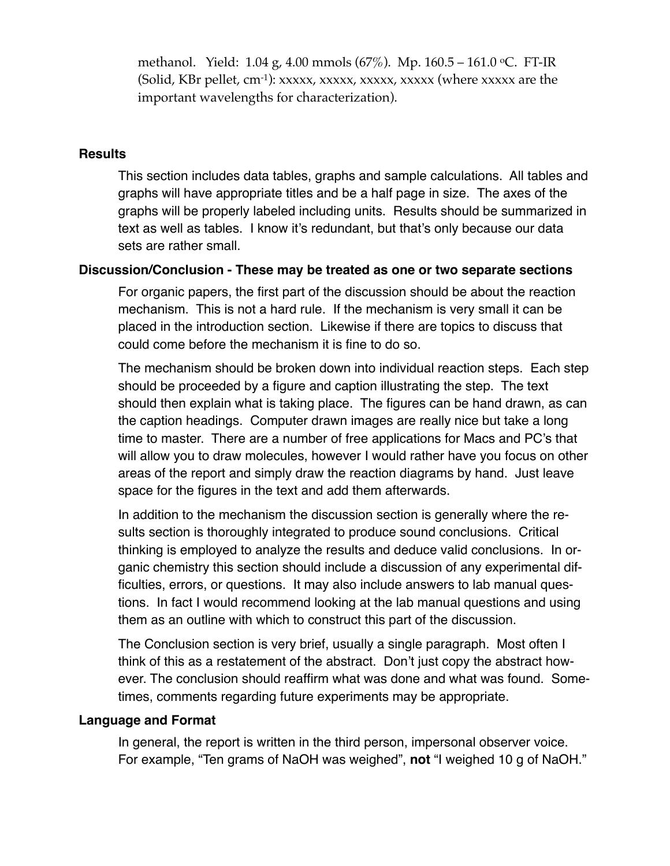methanol. Yield: 1.04 g, 4.00 mmols (67%). Mp. 160.5 – 161.0 oC. FT-IR (Solid, KBr pellet,  $cm^{-1}$ ): xxxxx, xxxxx, xxxxx, xxxxx (where xxxxx are the important wavelengths for characterization).

#### **Results**

This section includes data tables, graphs and sample calculations. All tables and graphs will have appropriate titles and be a half page in size. The axes of the graphs will be properly labeled including units. Results should be summarized in text as well as tables. I know it's redundant, but that's only because our data sets are rather small.

## **Discussion/Conclusion - These may be treated as one or two separate sections**

For organic papers, the first part of the discussion should be about the reaction mechanism. This is not a hard rule. If the mechanism is very small it can be placed in the introduction section. Likewise if there are topics to discuss that could come before the mechanism it is fine to do so.

The mechanism should be broken down into individual reaction steps. Each step should be proceeded by a figure and caption illustrating the step. The text should then explain what is taking place. The figures can be hand drawn, as can the caption headings. Computer drawn images are really nice but take a long time to master. There are a number of free applications for Macs and PC's that will allow you to draw molecules, however I would rather have you focus on other areas of the report and simply draw the reaction diagrams by hand. Just leave space for the figures in the text and add them afterwards.

In addition to the mechanism the discussion section is generally where the results section is thoroughly integrated to produce sound conclusions. Critical thinking is employed to analyze the results and deduce valid conclusions. In organic chemistry this section should include a discussion of any experimental difficulties, errors, or questions. It may also include answers to lab manual questions. In fact I would recommend looking at the lab manual questions and using them as an outline with which to construct this part of the discussion.

The Conclusion section is very brief, usually a single paragraph. Most often I think of this as a restatement of the abstract. Don't just copy the abstract however. The conclusion should reaffirm what was done and what was found. Sometimes, comments regarding future experiments may be appropriate.

#### **Language and Format**

In general, the report is written in the third person, impersonal observer voice. For example, "Ten grams of NaOH was weighed", **not** "I weighed 10 g of NaOH."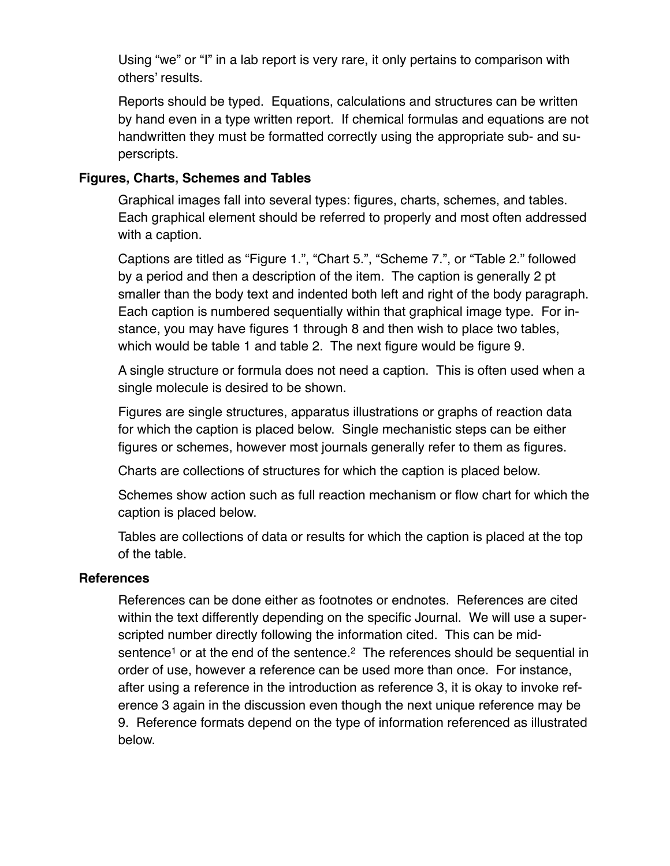Using "we" or "I" in a lab report is very rare, it only pertains to comparison with others' results.

Reports should be typed. Equations, calculations and structures can be written by hand even in a type written report. If chemical formulas and equations are not handwritten they must be formatted correctly using the appropriate sub- and superscripts.

## **Figures, Charts, Schemes and Tables**

Graphical images fall into several types: figures, charts, schemes, and tables. Each graphical element should be referred to properly and most often addressed with a caption.

Captions are titled as "Figure 1.", "Chart 5.", "Scheme 7.", or "Table 2." followed by a period and then a description of the item. The caption is generally 2 pt smaller than the body text and indented both left and right of the body paragraph. Each caption is numbered sequentially within that graphical image type. For instance, you may have figures 1 through 8 and then wish to place two tables, which would be table 1 and table 2. The next figure would be figure 9.

A single structure or formula does not need a caption. This is often used when a single molecule is desired to be shown.

Figures are single structures, apparatus illustrations or graphs of reaction data for which the caption is placed below. Single mechanistic steps can be either figures or schemes, however most journals generally refer to them as figures.

Charts are collections of structures for which the caption is placed below.

Schemes show action such as full reaction mechanism or flow chart for which the caption is placed below.

Tables are collections of data or results for which the caption is placed at the top of the table.

#### **References**

References can be done either as footnotes or endnotes. References are cited within the text differently depending on the specific Journal. We will use a superscripted number directly following the information cited. This can be midsentence<sup>1</sup> or at the end of the sentence.<sup>2</sup> The references should be sequential in order of use, however a reference can be used more than once. For instance, after using a reference in the introduction as reference 3, it is okay to invoke reference 3 again in the discussion even though the next unique reference may be 9. Reference formats depend on the type of information referenced as illustrated below.